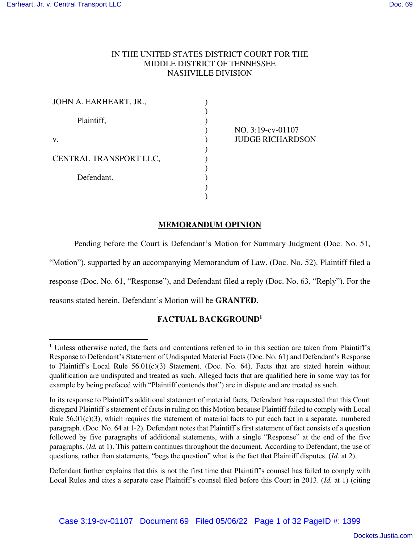## IN THE UNITED STATES DISTRICT COURT FOR THE MIDDLE DISTRICT OF TENNESSEE NASHVILLE DIVISION

)

| JOHN A. EARHEART, JR., |  |
|------------------------|--|
| Plaintiff,             |  |
| v.                     |  |
| CENTRAL TRANSPORT LLC, |  |
| Defendant.             |  |
|                        |  |

NO. 3:19-cv-01107 JUDGE RICHARDSON

## **MEMORANDUM OPINION**

Pending before the Court is Defendant's Motion for Summary Judgment (Doc. No. 51, "Motion"), supported by an accompanying Memorandum of Law. (Doc. No. 52). Plaintiff filed a response (Doc. No. 61, "Response"), and Defendant filed a reply (Doc. No. 63, "Reply"). For the

reasons stated herein, Defendant's Motion will be **GRANTED**.

# **FACTUAL BACKGROUND<sup>1</sup>**

Defendant further explains that this is not the first time that Plaintiff's counsel has failed to comply with Local Rules and cites a separate case Plaintiff's counsel filed before this Court in 2013. (*Id.* at 1) (citing

<sup>&</sup>lt;sup>1</sup> Unless otherwise noted, the facts and contentions referred to in this section are taken from Plaintiff's Response to Defendant's Statement of Undisputed Material Facts (Doc. No. 61) and Defendant's Response to Plaintiff's Local Rule  $56.01(c)(3)$  Statement. (Doc. No. 64). Facts that are stated herein without qualification are undisputed and treated as such. Alleged facts that are qualified here in some way (as for example by being prefaced with "Plaintiff contends that") are in dispute and are treated as such.

In its response to Plaintiff's additional statement of material facts, Defendant has requested that this Court disregard Plaintiff's statement of facts in ruling on this Motion because Plaintiff failed to comply with Local Rule  $56.01(c)(3)$ , which requires the statement of material facts to put each fact in a separate, numbered paragraph. (Doc. No. 64 at 1-2). Defendant notes that Plaintiff's first statement of fact consists of a question followed by five paragraphs of additional statements, with a single "Response" at the end of the five paragraphs. (*Id.* at 1). This pattern continues throughout the document. According to Defendant, the use of questions, rather than statements, "begs the question" what is the fact that Plaintiff disputes. (*Id.* at 2).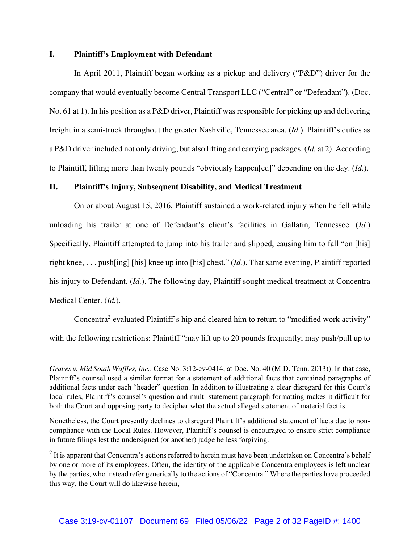### **I. Plaintiff's Employment with Defendant**

In April 2011, Plaintiff began working as a pickup and delivery ("P&D") driver for the company that would eventually become Central Transport LLC ("Central" or "Defendant"). (Doc. No. 61 at 1). In his position as a P&D driver, Plaintiff was responsible for picking up and delivering freight in a semi-truck throughout the greater Nashville, Tennessee area. (*Id.*). Plaintiff's duties as a P&D driver included not only driving, but also lifting and carrying packages. (*Id.* at 2). According to Plaintiff, lifting more than twenty pounds "obviously happen[ed]" depending on the day. (*Id.*).

### **II. Plaintiff's Injury, Subsequent Disability, and Medical Treatment**

On or about August 15, 2016, Plaintiff sustained a work-related injury when he fell while unloading his trailer at one of Defendant's client's facilities in Gallatin, Tennessee. (*Id.*) Specifically, Plaintiff attempted to jump into his trailer and slipped, causing him to fall "on [his] right knee, . . . push[ing] [his] knee up into [his] chest." (*Id.*). That same evening, Plaintiff reported his injury to Defendant. (*Id.*). The following day, Plaintiff sought medical treatment at Concentra Medical Center. (*Id.*).

Concentra<sup>2</sup> evaluated Plaintiff's hip and cleared him to return to "modified work activity" with the following restrictions: Plaintiff "may lift up to 20 pounds frequently; may push/pull up to

*Graves v. Mid South Waffles, Inc.*, Case No. 3:12-cv-0414, at Doc. No. 40 (M.D. Tenn. 2013)). In that case, Plaintiff's counsel used a similar format for a statement of additional facts that contained paragraphs of additional facts under each "header" question. In addition to illustrating a clear disregard for this Court's local rules, Plaintiff's counsel's question and multi-statement paragraph formatting makes it difficult for both the Court and opposing party to decipher what the actual alleged statement of material fact is.

Nonetheless, the Court presently declines to disregard Plaintiff's additional statement of facts due to noncompliance with the Local Rules. However, Plaintiff's counsel is encouraged to ensure strict compliance in future filings lest the undersigned (or another) judge be less forgiving.

 $2$  It is apparent that Concentra's actions referred to herein must have been undertaken on Concentra's behalf by one or more of its employees. Often, the identity of the applicable Concentra employees is left unclear by the parties, who instead refer generically to the actions of "Concentra." Where the parties have proceeded this way, the Court will do likewise herein,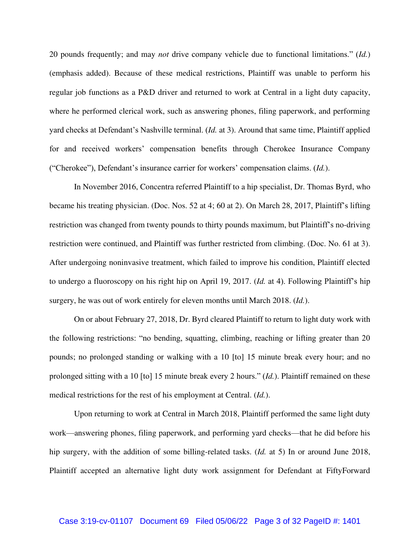20 pounds frequently; and may *not* drive company vehicle due to functional limitations." (*Id.*) (emphasis added). Because of these medical restrictions, Plaintiff was unable to perform his regular job functions as a P&D driver and returned to work at Central in a light duty capacity, where he performed clerical work, such as answering phones, filing paperwork, and performing yard checks at Defendant's Nashville terminal. (*Id.* at 3). Around that same time, Plaintiff applied for and received workers' compensation benefits through Cherokee Insurance Company ("Cherokee"), Defendant's insurance carrier for workers' compensation claims. (*Id.*).

In November 2016, Concentra referred Plaintiff to a hip specialist, Dr. Thomas Byrd, who became his treating physician. (Doc. Nos. 52 at 4; 60 at 2). On March 28, 2017, Plaintiff's lifting restriction was changed from twenty pounds to thirty pounds maximum, but Plaintiff's no-driving restriction were continued, and Plaintiff was further restricted from climbing. (Doc. No. 61 at 3). After undergoing noninvasive treatment, which failed to improve his condition, Plaintiff elected to undergo a fluoroscopy on his right hip on April 19, 2017. (*Id.* at 4). Following Plaintiff's hip surgery, he was out of work entirely for eleven months until March 2018. (*Id.*).

On or about February 27, 2018, Dr. Byrd cleared Plaintiff to return to light duty work with the following restrictions: "no bending, squatting, climbing, reaching or lifting greater than 20 pounds; no prolonged standing or walking with a 10 [to] 15 minute break every hour; and no prolonged sitting with a 10 [to] 15 minute break every 2 hours." (*Id.*). Plaintiff remained on these medical restrictions for the rest of his employment at Central. (*Id.*).

Upon returning to work at Central in March 2018, Plaintiff performed the same light duty work—answering phones, filing paperwork, and performing yard checks—that he did before his hip surgery, with the addition of some billing-related tasks. (*Id.* at 5) In or around June 2018, Plaintiff accepted an alternative light duty work assignment for Defendant at FiftyForward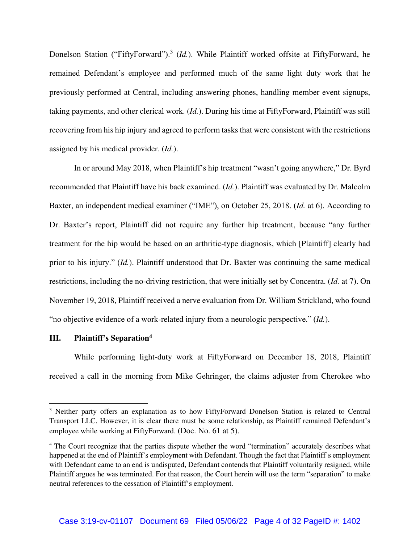Donelson Station ("FiftyForward").<sup>3</sup> (*Id.*). While Plaintiff worked offsite at FiftyForward, he remained Defendant's employee and performed much of the same light duty work that he previously performed at Central, including answering phones, handling member event signups, taking payments, and other clerical work. (*Id.*). During his time at FiftyForward, Plaintiff was still recovering from his hip injury and agreed to perform tasks that were consistent with the restrictions assigned by his medical provider. (*Id.*).

In or around May 2018, when Plaintiff's hip treatment "wasn't going anywhere," Dr. Byrd recommended that Plaintiff have his back examined. (*Id.*). Plaintiff was evaluated by Dr. Malcolm Baxter, an independent medical examiner ("IME"), on October 25, 2018. (*Id.* at 6). According to Dr. Baxter's report, Plaintiff did not require any further hip treatment, because "any further treatment for the hip would be based on an arthritic-type diagnosis, which [Plaintiff] clearly had prior to his injury." (*Id.*). Plaintiff understood that Dr. Baxter was continuing the same medical restrictions, including the no-driving restriction, that were initially set by Concentra. (*Id.* at 7). On November 19, 2018, Plaintiff received a nerve evaluation from Dr. William Strickland, who found "no objective evidence of a work-related injury from a neurologic perspective." (*Id.*).

### **III. Plaintiff's Separation<sup>4</sup>**

While performing light-duty work at FiftyForward on December 18, 2018, Plaintiff received a call in the morning from Mike Gehringer, the claims adjuster from Cherokee who

<sup>&</sup>lt;sup>3</sup> Neither party offers an explanation as to how FiftyForward Donelson Station is related to Central Transport LLC. However, it is clear there must be some relationship, as Plaintiff remained Defendant's employee while working at FiftyForward. (Doc. No. 61 at 5).

<sup>&</sup>lt;sup>4</sup> The Court recognize that the parties dispute whether the word "termination" accurately describes what happened at the end of Plaintiff's employment with Defendant. Though the fact that Plaintiff's employment with Defendant came to an end is undisputed, Defendant contends that Plaintiff voluntarily resigned, while Plaintiff argues he was terminated. For that reason, the Court herein will use the term "separation" to make neutral references to the cessation of Plaintiff's employment.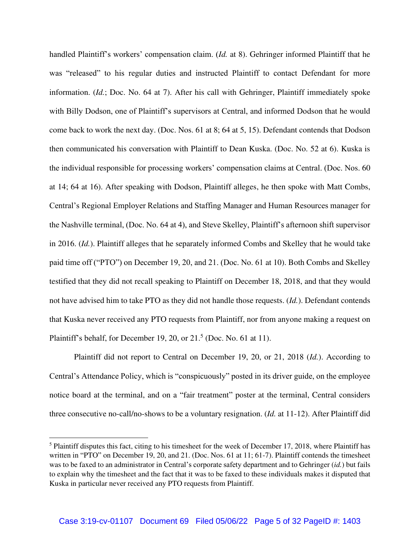handled Plaintiff's workers' compensation claim. (*Id.* at 8). Gehringer informed Plaintiff that he was "released" to his regular duties and instructed Plaintiff to contact Defendant for more information. (*Id.*; Doc. No. 64 at 7). After his call with Gehringer, Plaintiff immediately spoke with Billy Dodson, one of Plaintiff's supervisors at Central, and informed Dodson that he would come back to work the next day. (Doc. Nos. 61 at 8; 64 at 5, 15). Defendant contends that Dodson then communicated his conversation with Plaintiff to Dean Kuska. (Doc. No. 52 at 6). Kuska is the individual responsible for processing workers' compensation claims at Central. (Doc. Nos. 60 at 14; 64 at 16). After speaking with Dodson, Plaintiff alleges, he then spoke with Matt Combs, Central's Regional Employer Relations and Staffing Manager and Human Resources manager for the Nashville terminal, (Doc. No. 64 at 4), and Steve Skelley, Plaintiff's afternoon shift supervisor in 2016. (*Id.*). Plaintiff alleges that he separately informed Combs and Skelley that he would take paid time off ("PTO") on December 19, 20, and 21. (Doc. No. 61 at 10). Both Combs and Skelley testified that they did not recall speaking to Plaintiff on December 18, 2018, and that they would not have advised him to take PTO as they did not handle those requests. (*Id.*). Defendant contends that Kuska never received any PTO requests from Plaintiff, nor from anyone making a request on Plaintiff's behalf, for December 19, 20, or  $21<sup>5</sup>$  (Doc. No. 61 at 11).

Plaintiff did not report to Central on December 19, 20, or 21, 2018 (*Id.*). According to Central's Attendance Policy, which is "conspicuously" posted in its driver guide, on the employee notice board at the terminal, and on a "fair treatment" poster at the terminal, Central considers three consecutive no-call/no-shows to be a voluntary resignation. (*Id.* at 11-12). After Plaintiff did

 $<sup>5</sup>$  Plaintiff disputes this fact, citing to his timesheet for the week of December 17, 2018, where Plaintiff has</sup> written in "PTO" on December 19, 20, and 21. (Doc. Nos. 61 at 11; 61-7). Plaintiff contends the timesheet was to be faxed to an administrator in Central's corporate safety department and to Gehringer (*id.*) but fails to explain why the timesheet and the fact that it was to be faxed to these individuals makes it disputed that Kuska in particular never received any PTO requests from Plaintiff.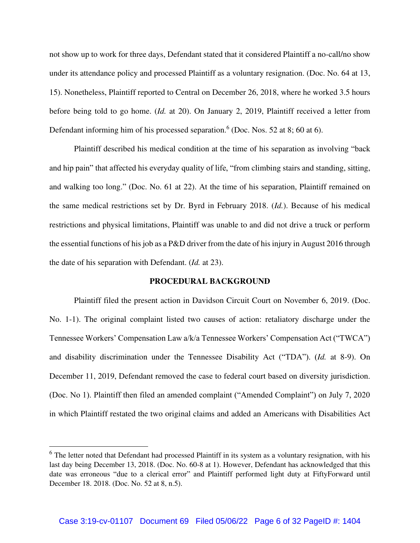not show up to work for three days, Defendant stated that it considered Plaintiff a no-call/no show under its attendance policy and processed Plaintiff as a voluntary resignation. (Doc. No. 64 at 13, 15). Nonetheless, Plaintiff reported to Central on December 26, 2018, where he worked 3.5 hours before being told to go home. (*Id.* at 20). On January 2, 2019, Plaintiff received a letter from Defendant informing him of his processed separation.<sup>6</sup> (Doc. Nos. 52 at 8; 60 at 6).

Plaintiff described his medical condition at the time of his separation as involving "back and hip pain" that affected his everyday quality of life, "from climbing stairs and standing, sitting, and walking too long." (Doc. No. 61 at 22). At the time of his separation, Plaintiff remained on the same medical restrictions set by Dr. Byrd in February 2018. (*Id.*). Because of his medical restrictions and physical limitations, Plaintiff was unable to and did not drive a truck or perform the essential functions of his job as a P&D driver from the date of his injury in August 2016 through the date of his separation with Defendant. (*Id.* at 23).

#### **PROCEDURAL BACKGROUND**

Plaintiff filed the present action in Davidson Circuit Court on November 6, 2019. (Doc. No. 1-1). The original complaint listed two causes of action: retaliatory discharge under the Tennessee Workers' Compensation Law a/k/a Tennessee Workers' Compensation Act ("TWCA") and disability discrimination under the Tennessee Disability Act ("TDA"). (*Id.* at 8-9). On December 11, 2019, Defendant removed the case to federal court based on diversity jurisdiction. (Doc. No 1). Plaintiff then filed an amended complaint ("Amended Complaint") on July 7, 2020 in which Plaintiff restated the two original claims and added an Americans with Disabilities Act

<sup>&</sup>lt;sup>6</sup> The letter noted that Defendant had processed Plaintiff in its system as a voluntary resignation, with his last day being December 13, 2018. (Doc. No. 60-8 at 1). However, Defendant has acknowledged that this date was erroneous "due to a clerical error" and Plaintiff performed light duty at FiftyForward until December 18. 2018. (Doc. No. 52 at 8, n.5).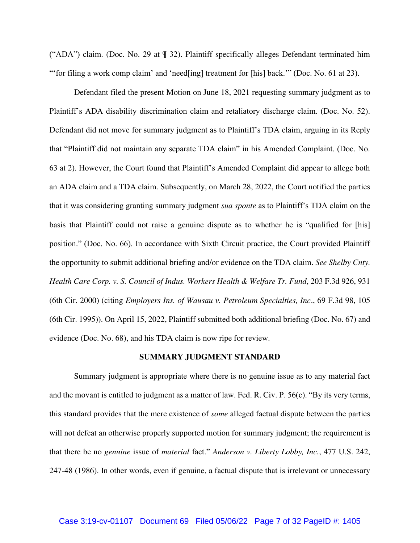("ADA") claim. (Doc. No. 29 at ¶ 32). Plaintiff specifically alleges Defendant terminated him "'for filing a work comp claim' and 'need[ing] treatment for [his] back.'" (Doc. No. 61 at 23).

Defendant filed the present Motion on June 18, 2021 requesting summary judgment as to Plaintiff's ADA disability discrimination claim and retaliatory discharge claim. (Doc. No. 52). Defendant did not move for summary judgment as to Plaintiff's TDA claim, arguing in its Reply that "Plaintiff did not maintain any separate TDA claim" in his Amended Complaint. (Doc. No. 63 at 2). However, the Court found that Plaintiff's Amended Complaint did appear to allege both an ADA claim and a TDA claim. Subsequently, on March 28, 2022, the Court notified the parties that it was considering granting summary judgment *sua sponte* as to Plaintiff's TDA claim on the basis that Plaintiff could not raise a genuine dispute as to whether he is "qualified for [his] position." (Doc. No. 66). In accordance with Sixth Circuit practice, the Court provided Plaintiff the opportunity to submit additional briefing and/or evidence on the TDA claim. *See Shelby Cnty. Health Care Corp. v. S. Council of Indus. Workers Health & Welfare Tr. Fund*, 203 F.3d 926, 931 (6th Cir. 2000) (citing *Employers Ins. of Wausau v. Petroleum Specialties, Inc*., 69 F.3d 98, 105 (6th Cir. 1995)). On April 15, 2022, Plaintiff submitted both additional briefing (Doc. No. 67) and evidence (Doc. No. 68), and his TDA claim is now ripe for review.

#### **SUMMARY JUDGMENT STANDARD**

Summary judgment is appropriate where there is no genuine issue as to any material fact and the movant is entitled to judgment as a matter of law. Fed. R. Civ. P. 56(c). "By its very terms, this standard provides that the mere existence of *some* alleged factual dispute between the parties will not defeat an otherwise properly supported motion for summary judgment; the requirement is that there be no *genuine* issue of *material* fact." *Anderson v. Liberty Lobby, Inc.*, 477 U.S. 242, 247-48 (1986). In other words, even if genuine, a factual dispute that is irrelevant or unnecessary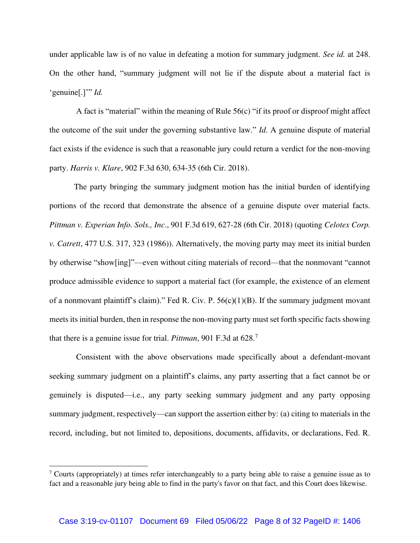under applicable law is of no value in defeating a motion for summary judgment. *See id.* at 248. On the other hand, "summary judgment will not lie if the dispute about a material fact is 'genuine[.]'" *Id.* 

A fact is "material" within the meaning of Rule 56(c) "if its proof or disproof might affect the outcome of the suit under the governing substantive law." *Id*. A genuine dispute of material fact exists if the evidence is such that a reasonable jury could return a verdict for the non-moving party. *Harris v. Klare*, 902 F.3d 630, 634-35 (6th Cir. 2018).

The party bringing the summary judgment motion has the initial burden of identifying portions of the record that demonstrate the absence of a genuine dispute over material facts. *Pittman v. Experian Info. Sols., Inc*., 901 F.3d 619, 627-28 (6th Cir. 2018) (quoting *Celotex Corp. v. Catrett*, 477 U.S. 317, 323 (1986)). Alternatively, the moving party may meet its initial burden by otherwise "show[ing]"—even without citing materials of record—that the nonmovant "cannot produce admissible evidence to support a material fact (for example, the existence of an element of a nonmovant plaintiff's claim)." Fed R. Civ. P.  $56(c)(1)(B)$ . If the summary judgment movant meets its initial burden, then in response the non-moving party must set forth specific facts showing that there is a genuine issue for trial. *Pittman*, 901 F.3d at 628.<sup>7</sup>

 Consistent with the above observations made specifically about a defendant-movant seeking summary judgment on a plaintiff's claims, any party asserting that a fact cannot be or genuinely is disputed—i.e., any party seeking summary judgment and any party opposing summary judgment, respectively—can support the assertion either by: (a) citing to materials in the record, including, but not limited to, depositions, documents, affidavits, or declarations, Fed. R.

 $7$  Courts (appropriately) at times refer interchangeably to a party being able to raise a genuine issue as to fact and a reasonable jury being able to find in the party's favor on that fact, and this Court does likewise.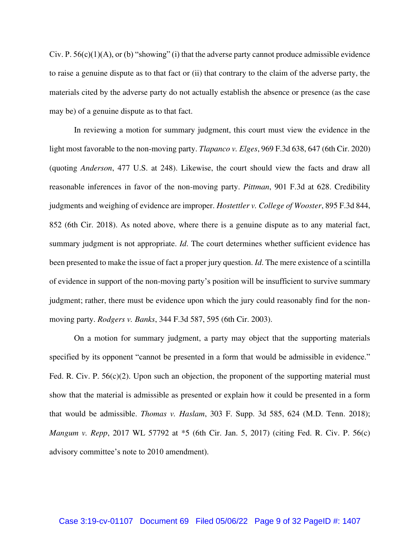Civ. P.  $56(c)(1)(A)$ , or (b) "showing" (i) that the adverse party cannot produce admissible evidence to raise a genuine dispute as to that fact or (ii) that contrary to the claim of the adverse party, the materials cited by the adverse party do not actually establish the absence or presence (as the case may be) of a genuine dispute as to that fact.

In reviewing a motion for summary judgment, this court must view the evidence in the light most favorable to the non-moving party. *Tlapanco v. Elges*, 969 F.3d 638, 647 (6th Cir. 2020) (quoting *Anderson*, 477 U.S. at 248). Likewise, the court should view the facts and draw all reasonable inferences in favor of the non-moving party. *Pittman*, 901 F.3d at 628. Credibility judgments and weighing of evidence are improper. *Hostettler v. College of Wooster*, 895 F.3d 844, 852 (6th Cir. 2018). As noted above, where there is a genuine dispute as to any material fact, summary judgment is not appropriate. *Id*. The court determines whether sufficient evidence has been presented to make the issue of fact a proper jury question. *Id*. The mere existence of a scintilla of evidence in support of the non-moving party's position will be insufficient to survive summary judgment; rather, there must be evidence upon which the jury could reasonably find for the nonmoving party. *Rodgers v. Banks*, 344 F.3d 587, 595 (6th Cir. 2003).

On a motion for summary judgment, a party may object that the supporting materials specified by its opponent "cannot be presented in a form that would be admissible in evidence." Fed. R. Civ. P. 56(c)(2). Upon such an objection, the proponent of the supporting material must show that the material is admissible as presented or explain how it could be presented in a form that would be admissible. *Thomas v. Haslam*, 303 F. Supp. 3d 585, 624 (M.D. Tenn. 2018); *Mangum v. Repp*, 2017 WL 57792 at \*5 (6th Cir. Jan. 5, 2017) (citing Fed. R. Civ. P. 56(c) advisory committee's note to 2010 amendment).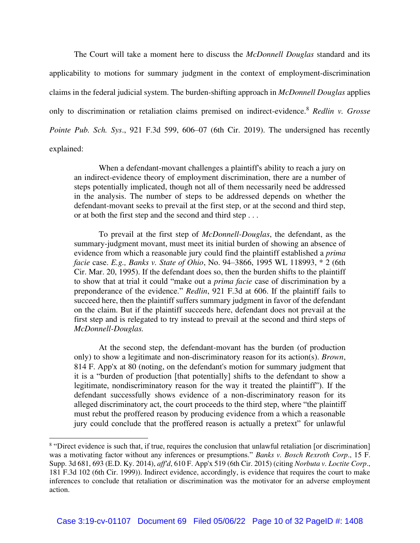The Court will take a moment here to discuss the *McDonnell Douglas* standard and its applicability to motions for summary judgment in the context of employment-discrimination claims in the federal judicial system. The burden-shifting approach in *McDonnell Douglas* applies only to discrimination or retaliation claims premised on indirect-evidence.<sup>8</sup> *Redlin v. Grosse Pointe Pub. Sch. Sys*., 921 F.3d 599, 606–07 (6th Cir. 2019). The undersigned has recently explained:

When a defendant-movant challenges a plaintiff's ability to reach a jury on an indirect-evidence theory of employment discrimination, there are a number of steps potentially implicated, though not all of them necessarily need be addressed in the analysis. The number of steps to be addressed depends on whether the defendant-movant seeks to prevail at the first step, or at the second and third step, or at both the first step and the second and third step . . .

To prevail at the first step of *McDonnell-Douglas*, the defendant, as the summary-judgment movant, must meet its initial burden of showing an absence of evidence from which a reasonable jury could find the plaintiff established a *prima facie* case. *E.g., Banks v. State of Ohio*, No. 94–3866, 1995 WL 118993, \* 2 (6th Cir. Mar. 20, 1995). If the defendant does so, then the burden shifts to the plaintiff to show that at trial it could "make out a *prima facie* case of discrimination by a preponderance of the evidence." *Redlin*, 921 F.3d at 606. If the plaintiff fails to succeed here, then the plaintiff suffers summary judgment in favor of the defendant on the claim. But if the plaintiff succeeds here, defendant does not prevail at the first step and is relegated to try instead to prevail at the second and third steps of *McDonnell-Douglas.* 

At the second step, the defendant-movant has the burden (of production only) to show a legitimate and non-discriminatory reason for its action(s). *Brown*, 814 F. App'x at 80 (noting, on the defendant's motion for summary judgment that it is a "burden of production [that potentially] shifts to the defendant to show a legitimate, nondiscriminatory reason for the way it treated the plaintiff"). If the defendant successfully shows evidence of a non-discriminatory reason for its alleged discriminatory act, the court proceeds to the third step, where "the plaintiff must rebut the proffered reason by producing evidence from a which a reasonable jury could conclude that the proffered reason is actually a pretext" for unlawful

<sup>&</sup>lt;sup>8</sup> "Direct evidence is such that, if true, requires the conclusion that unlawful retaliation [or discrimination] was a motivating factor without any inferences or presumptions." *Banks v. Bosch Rexroth Corp*., 15 F. Supp. 3d 681, 693 (E.D. Ky. 2014), *aff'd*, 610 F. App'x 519 (6th Cir. 2015) (citing *Norbuta v. Loctite Corp*., 181 F.3d 102 (6th Cir. 1999)). Indirect evidence, accordingly, is evidence that requires the court to make inferences to conclude that retaliation or discrimination was the motivator for an adverse employment action.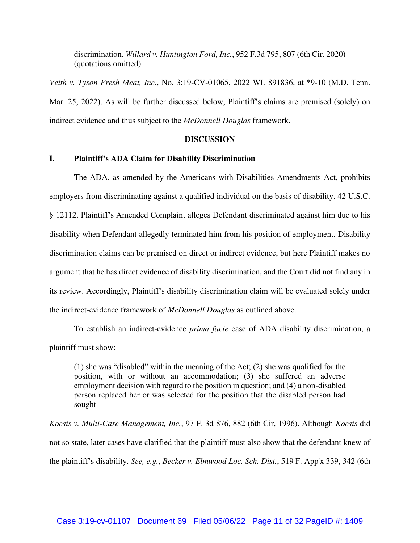discrimination. *Willard v. Huntington Ford, Inc.*, 952 F.3d 795, 807 (6th Cir. 2020) (quotations omitted).

*Veith v. Tyson Fresh Meat, Inc*., No. 3:19-CV-01065, 2022 WL 891836, at \*9-10 (M.D. Tenn. Mar. 25, 2022). As will be further discussed below, Plaintiff's claims are premised (solely) on indirect evidence and thus subject to the *McDonnell Douglas* framework.

#### **DISCUSSION**

## **I. Plaintiff's ADA Claim for Disability Discrimination**

The ADA, as amended by the Americans with Disabilities Amendments Act, prohibits employers from discriminating against a qualified individual on the basis of disability. 42 U.S.C. § 12112. Plaintiff's Amended Complaint alleges Defendant discriminated against him due to his disability when Defendant allegedly terminated him from his position of employment. Disability discrimination claims can be premised on direct or indirect evidence, but here Plaintiff makes no argument that he has direct evidence of disability discrimination, and the Court did not find any in its review. Accordingly, Plaintiff's disability discrimination claim will be evaluated solely under the indirect-evidence framework of *McDonnell Douglas* as outlined above.

To establish an indirect-evidence *prima facie* case of ADA disability discrimination, a plaintiff must show:

(1) she was "disabled" within the meaning of the Act; (2) she was qualified for the position, with or without an accommodation; (3) she suffered an adverse employment decision with regard to the position in question; and (4) a non-disabled person replaced her or was selected for the position that the disabled person had sought

*Kocsis v. Multi-Care Management, Inc.*, 97 F. 3d 876, 882 (6th Cir, 1996). Although *Kocsis* did not so state, later cases have clarified that the plaintiff must also show that the defendant knew of the plaintiff's disability. *See, e.g.*, *Becker v. Elmwood Loc. Sch. Dist.*, 519 F. App'x 339, 342 (6th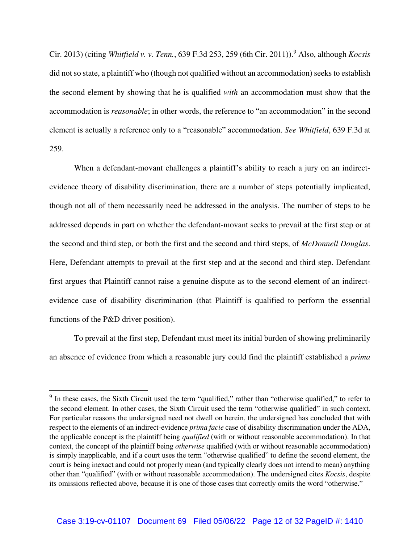Cir. 2013) (citing *Whitfield v. v. Tenn.*, 639 F.3d 253, 259 (6th Cir. 2011)).<sup>9</sup> Also, although *Kocsis*  did not so state, a plaintiff who (though not qualified without an accommodation) seeks to establish the second element by showing that he is qualified *with* an accommodation must show that the accommodation is *reasonable*; in other words, the reference to "an accommodation" in the second element is actually a reference only to a "reasonable" accommodation. *See Whitfield*, 639 F.3d at 259.

When a defendant-movant challenges a plaintiff's ability to reach a jury on an indirectevidence theory of disability discrimination, there are a number of steps potentially implicated, though not all of them necessarily need be addressed in the analysis. The number of steps to be addressed depends in part on whether the defendant-movant seeks to prevail at the first step or at the second and third step, or both the first and the second and third steps, of *McDonnell Douglas*. Here, Defendant attempts to prevail at the first step and at the second and third step. Defendant first argues that Plaintiff cannot raise a genuine dispute as to the second element of an indirectevidence case of disability discrimination (that Plaintiff is qualified to perform the essential functions of the P&D driver position).

To prevail at the first step, Defendant must meet its initial burden of showing preliminarily an absence of evidence from which a reasonable jury could find the plaintiff established a *prima* 

<sup>&</sup>lt;sup>9</sup> In these cases, the Sixth Circuit used the term "qualified," rather than "otherwise qualified," to refer to the second element. In other cases, the Sixth Circuit used the term "otherwise qualified" in such context. For particular reasons the undersigned need not dwell on herein, the undersigned has concluded that with respect to the elements of an indirect-evidence *prima facie* case of disability discrimination under the ADA, the applicable concept is the plaintiff being *qualified* (with or without reasonable accommodation). In that context, the concept of the plaintiff being *otherwise* qualified (with or without reasonable accommodation) is simply inapplicable, and if a court uses the term "otherwise qualified" to define the second element, the court is being inexact and could not properly mean (and typically clearly does not intend to mean) anything other than "qualified" (with or without reasonable accommodation). The undersigned cites *Kocsis*, despite its omissions reflected above, because it is one of those cases that correctly omits the word "otherwise."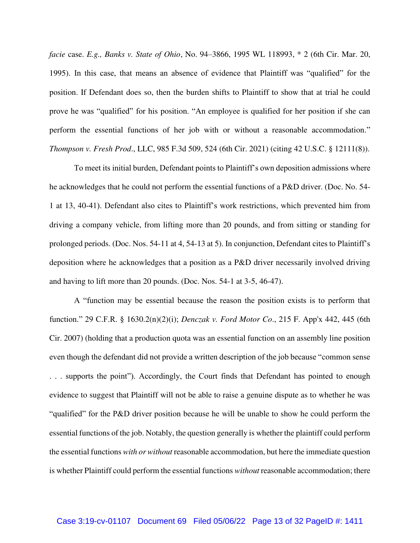*facie* case. *E.g., Banks v. State of Ohio*, No. 94–3866, 1995 WL 118993, \* 2 (6th Cir. Mar. 20, 1995). In this case, that means an absence of evidence that Plaintiff was "qualified" for the position. If Defendant does so, then the burden shifts to Plaintiff to show that at trial he could prove he was "qualified" for his position. "An employee is qualified for her position if she can perform the essential functions of her job with or without a reasonable accommodation." *Thompson v. Fresh Prod*., LLC, 985 F.3d 509, 524 (6th Cir. 2021) (citing 42 U.S.C. § 12111(8)).

To meet its initial burden, Defendant points to Plaintiff's own deposition admissions where he acknowledges that he could not perform the essential functions of a P&D driver. (Doc. No. 54- 1 at 13, 40-41). Defendant also cites to Plaintiff's work restrictions, which prevented him from driving a company vehicle, from lifting more than 20 pounds, and from sitting or standing for prolonged periods. (Doc. Nos. 54-11 at 4, 54-13 at 5). In conjunction, Defendant cites to Plaintiff's deposition where he acknowledges that a position as a P&D driver necessarily involved driving and having to lift more than 20 pounds. (Doc. Nos. 54-1 at 3-5, 46-47).

A "function may be essential because the reason the position exists is to perform that function." 29 C.F.R. § 1630.2(n)(2)(i); *Denczak v. Ford Motor Co*., 215 F. App'x 442, 445 (6th Cir. 2007) (holding that a production quota was an essential function on an assembly line position even though the defendant did not provide a written description of the job because "common sense . . . supports the point"). Accordingly, the Court finds that Defendant has pointed to enough evidence to suggest that Plaintiff will not be able to raise a genuine dispute as to whether he was "qualified" for the P&D driver position because he will be unable to show he could perform the essential functions of the job. Notably, the question generally is whether the plaintiff could perform the essential functions *with or without* reasonable accommodation, but here the immediate question is whether Plaintiff could perform the essential functions *without* reasonable accommodation; there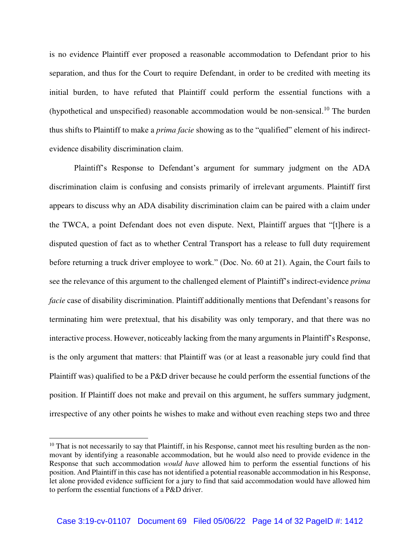is no evidence Plaintiff ever proposed a reasonable accommodation to Defendant prior to his separation, and thus for the Court to require Defendant, in order to be credited with meeting its initial burden, to have refuted that Plaintiff could perform the essential functions with a (hypothetical and unspecified) reasonable accommodation would be non-sensical.<sup>10</sup> The burden thus shifts to Plaintiff to make a *prima facie* showing as to the "qualified" element of his indirectevidence disability discrimination claim.

Plaintiff's Response to Defendant's argument for summary judgment on the ADA discrimination claim is confusing and consists primarily of irrelevant arguments. Plaintiff first appears to discuss why an ADA disability discrimination claim can be paired with a claim under the TWCA, a point Defendant does not even dispute. Next, Plaintiff argues that "[t]here is a disputed question of fact as to whether Central Transport has a release to full duty requirement before returning a truck driver employee to work." (Doc. No. 60 at 21). Again, the Court fails to see the relevance of this argument to the challenged element of Plaintiff's indirect-evidence *prima facie* case of disability discrimination. Plaintiff additionally mentions that Defendant's reasons for terminating him were pretextual, that his disability was only temporary, and that there was no interactive process. However, noticeably lacking from the many arguments in Plaintiff's Response, is the only argument that matters: that Plaintiff was (or at least a reasonable jury could find that Plaintiff was) qualified to be a P&D driver because he could perform the essential functions of the position. If Plaintiff does not make and prevail on this argument, he suffers summary judgment, irrespective of any other points he wishes to make and without even reaching steps two and three

<sup>&</sup>lt;sup>10</sup> That is not necessarily to say that Plaintiff, in his Response, cannot meet his resulting burden as the nonmovant by identifying a reasonable accommodation, but he would also need to provide evidence in the Response that such accommodation *would have* allowed him to perform the essential functions of his position. And Plaintiff in this case has not identified a potential reasonable accommodation in his Response, let alone provided evidence sufficient for a jury to find that said accommodation would have allowed him to perform the essential functions of a P&D driver.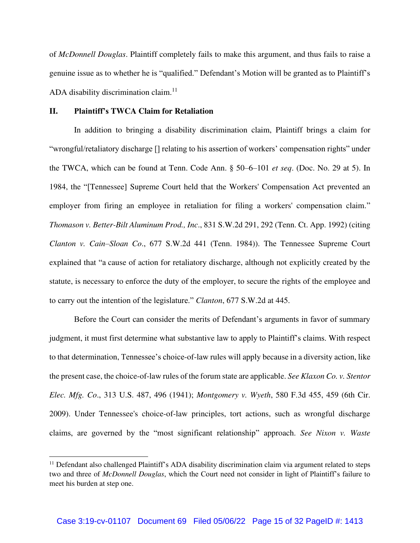of *McDonnell Douglas*. Plaintiff completely fails to make this argument, and thus fails to raise a genuine issue as to whether he is "qualified." Defendant's Motion will be granted as to Plaintiff's ADA disability discrimination claim.<sup>11</sup>

### **II. Plaintiff's TWCA Claim for Retaliation**

In addition to bringing a disability discrimination claim, Plaintiff brings a claim for "wrongful/retaliatory discharge [] relating to his assertion of workers' compensation rights" under the TWCA, which can be found at Tenn. Code Ann. § 50–6–101 *et seq*. (Doc. No. 29 at 5). In 1984, the "[Tennessee] Supreme Court held that the Workers' Compensation Act prevented an employer from firing an employee in retaliation for filing a workers' compensation claim." *Thomason v. Better-Bilt Aluminum Prod., Inc*., 831 S.W.2d 291, 292 (Tenn. Ct. App. 1992) (citing *Clanton v. Cain–Sloan Co*., 677 S.W.2d 441 (Tenn. 1984)). The Tennessee Supreme Court explained that "a cause of action for retaliatory discharge, although not explicitly created by the statute, is necessary to enforce the duty of the employer, to secure the rights of the employee and to carry out the intention of the legislature." *Clanton*, 677 S.W.2d at 445.

Before the Court can consider the merits of Defendant's arguments in favor of summary judgment, it must first determine what substantive law to apply to Plaintiff's claims. With respect to that determination, Tennessee's choice-of-law rules will apply because in a diversity action, like the present case, the choice-of-law rules of the forum state are applicable. *See Klaxon Co. v. Stentor Elec. Mfg. Co*., 313 U.S. 487, 496 (1941); *Montgomery v. Wyeth*, 580 F.3d 455, 459 (6th Cir. 2009). Under Tennessee's choice-of-law principles, tort actions, such as wrongful discharge claims, are governed by the "most significant relationship" approach. *See Nixon v. Waste* 

<sup>&</sup>lt;sup>11</sup> Defendant also challenged Plaintiff's ADA disability discrimination claim via argument related to steps two and three of *McDonnell Douglas*, which the Court need not consider in light of Plaintiff's failure to meet his burden at step one.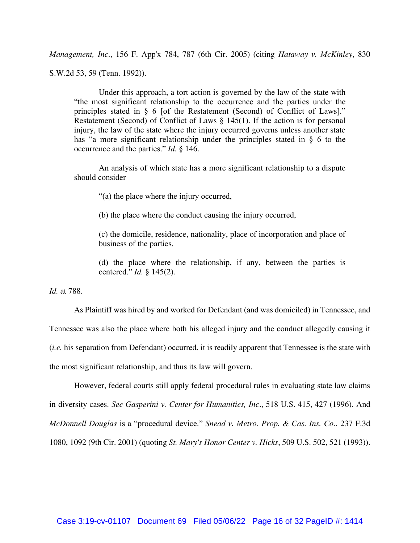*Management, Inc*., 156 F. App'x 784, 787 (6th Cir. 2005) (citing *Hataway v. McKinley*, 830 S.W.2d 53, 59 (Tenn. 1992)).

Under this approach, a tort action is governed by the law of the state with "the most significant relationship to the occurrence and the parties under the principles stated in § 6 [of the Restatement (Second) of Conflict of Laws]." Restatement (Second) of Conflict of Laws § 145(1). If the action is for personal injury, the law of the state where the injury occurred governs unless another state has "a more significant relationship under the principles stated in § 6 to the occurrence and the parties." *Id.* § 146.

An analysis of which state has a more significant relationship to a dispute should consider

"(a) the place where the injury occurred,

(b) the place where the conduct causing the injury occurred,

(c) the domicile, residence, nationality, place of incorporation and place of business of the parties,

(d) the place where the relationship, if any, between the parties is centered." *Id.* § 145(2).

*Id.* at 788.

As Plaintiff was hired by and worked for Defendant (and was domiciled) in Tennessee, and Tennessee was also the place where both his alleged injury and the conduct allegedly causing it (*i.e.* his separation from Defendant) occurred, it is readily apparent that Tennessee is the state with the most significant relationship, and thus its law will govern.

However, federal courts still apply federal procedural rules in evaluating state law claims in diversity cases. *See Gasperini v. Center for Humanities, Inc*., 518 U.S. 415, 427 (1996). And *McDonnell Douglas* is a "procedural device." *Snead v. Metro. Prop. & Cas. Ins. Co*., 237 F.3d 1080, 1092 (9th Cir. 2001) (quoting *St. Mary's Honor Center v. Hicks*, 509 U.S. 502, 521 (1993)).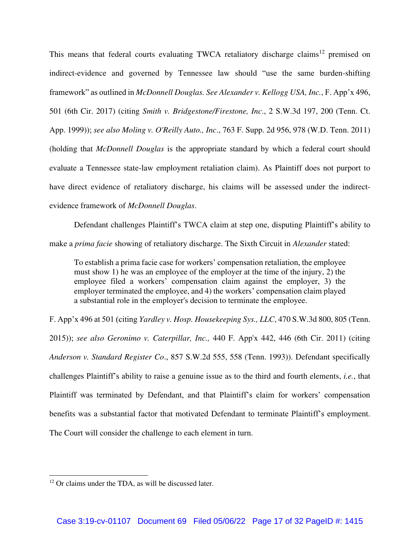This means that federal courts evaluating TWCA retaliatory discharge claims<sup>12</sup> premised on indirect-evidence and governed by Tennessee law should "use the same burden-shifting framework" as outlined in *McDonnell Douglas. See Alexander v. Kellogg USA, Inc.*, F. App'x 496, 501 (6th Cir. 2017) (citing *Smith v. Bridgestone/Firestone, Inc*., 2 S.W.3d 197, 200 (Tenn. Ct. App. 1999)); *see also Moling v. O'Reilly Auto., Inc*., 763 F. Supp. 2d 956, 978 (W.D. Tenn. 2011) (holding that *McDonnell Douglas* is the appropriate standard by which a federal court should evaluate a Tennessee state-law employment retaliation claim). As Plaintiff does not purport to have direct evidence of retaliatory discharge, his claims will be assessed under the indirectevidence framework of *McDonnell Douglas*.

Defendant challenges Plaintiff's TWCA claim at step one, disputing Plaintiff's ability to make a *prima facie* showing of retaliatory discharge. The Sixth Circuit in *Alexander* stated:

To establish a prima facie case for workers' compensation retaliation, the employee must show 1) he was an employee of the employer at the time of the injury, 2) the employee filed a workers' compensation claim against the employer, 3) the employer terminated the employee, and 4) the workers' compensation claim played a substantial role in the employer's decision to terminate the employee.

F. App'x 496 at 501 (citing *Yardley v. Hosp. Housekeeping Sys., LLC*, 470 S.W.3d 800, 805 (Tenn. 2015)); *see also Geronimo v. Caterpillar, Inc.,* 440 F. App'x 442, 446 (6th Cir. 2011) (citing *Anderson v. Standard Register Co*., 857 S.W.2d 555, 558 (Tenn. 1993)). Defendant specifically challenges Plaintiff's ability to raise a genuine issue as to the third and fourth elements, *i.e.*, that Plaintiff was terminated by Defendant, and that Plaintiff's claim for workers' compensation benefits was a substantial factor that motivated Defendant to terminate Plaintiff's employment. The Court will consider the challenge to each element in turn.

<sup>&</sup>lt;sup>12</sup> Or claims under the TDA, as will be discussed later.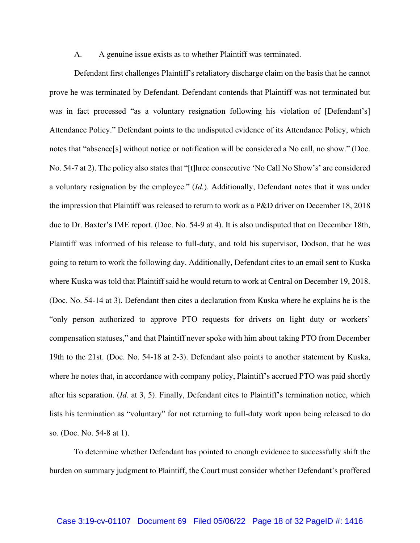#### A. A genuine issue exists as to whether Plaintiff was terminated.

Defendant first challenges Plaintiff's retaliatory discharge claim on the basis that he cannot prove he was terminated by Defendant. Defendant contends that Plaintiff was not terminated but was in fact processed "as a voluntary resignation following his violation of [Defendant's] Attendance Policy." Defendant points to the undisputed evidence of its Attendance Policy, which notes that "absence[s] without notice or notification will be considered a No call, no show." (Doc. No. 54-7 at 2). The policy also states that "[t]hree consecutive 'No Call No Show's' are considered a voluntary resignation by the employee." (*Id.*). Additionally, Defendant notes that it was under the impression that Plaintiff was released to return to work as a P&D driver on December 18, 2018 due to Dr. Baxter's IME report. (Doc. No. 54-9 at 4). It is also undisputed that on December 18th, Plaintiff was informed of his release to full-duty, and told his supervisor, Dodson, that he was going to return to work the following day. Additionally, Defendant cites to an email sent to Kuska where Kuska was told that Plaintiff said he would return to work at Central on December 19, 2018. (Doc. No. 54-14 at 3). Defendant then cites a declaration from Kuska where he explains he is the "only person authorized to approve PTO requests for drivers on light duty or workers' compensation statuses," and that Plaintiff never spoke with him about taking PTO from December 19th to the 21st. (Doc. No. 54-18 at 2-3). Defendant also points to another statement by Kuska, where he notes that, in accordance with company policy, Plaintiff's accrued PTO was paid shortly after his separation. (*Id.* at 3, 5). Finally, Defendant cites to Plaintiff's termination notice, which lists his termination as "voluntary" for not returning to full-duty work upon being released to do so. (Doc. No. 54-8 at 1).

To determine whether Defendant has pointed to enough evidence to successfully shift the burden on summary judgment to Plaintiff, the Court must consider whether Defendant's proffered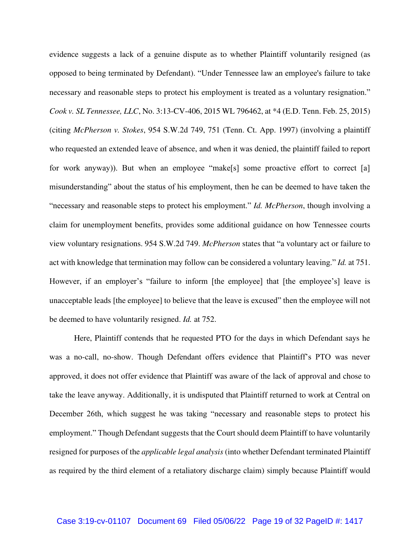evidence suggests a lack of a genuine dispute as to whether Plaintiff voluntarily resigned (as opposed to being terminated by Defendant). "Under Tennessee law an employee's failure to take necessary and reasonable steps to protect his employment is treated as a voluntary resignation." *Cook v. SL Tennessee, LLC*, No. 3:13-CV-406, 2015 WL 796462, at \*4 (E.D. Tenn. Feb. 25, 2015) (citing *McPherson v. Stokes*, 954 S.W.2d 749, 751 (Tenn. Ct. App. 1997) (involving a plaintiff who requested an extended leave of absence, and when it was denied, the plaintiff failed to report for work anyway)). But when an employee "make[s] some proactive effort to correct [a] misunderstanding" about the status of his employment, then he can be deemed to have taken the "necessary and reasonable steps to protect his employment." *Id. McPherson*, though involving a claim for unemployment benefits, provides some additional guidance on how Tennessee courts view voluntary resignations. 954 S.W.2d 749. *McPherson* states that "a voluntary act or failure to act with knowledge that termination may follow can be considered a voluntary leaving." *Id.* at 751. However, if an employer's "failure to inform [the employee] that [the employee's] leave is unacceptable leads [the employee] to believe that the leave is excused" then the employee will not be deemed to have voluntarily resigned. *Id.* at 752.

Here, Plaintiff contends that he requested PTO for the days in which Defendant says he was a no-call, no-show. Though Defendant offers evidence that Plaintiff's PTO was never approved, it does not offer evidence that Plaintiff was aware of the lack of approval and chose to take the leave anyway. Additionally, it is undisputed that Plaintiff returned to work at Central on December 26th, which suggest he was taking "necessary and reasonable steps to protect his employment." Though Defendant suggests that the Court should deem Plaintiff to have voluntarily resigned for purposes of the *applicable legal analysis* (into whether Defendant terminated Plaintiff as required by the third element of a retaliatory discharge claim) simply because Plaintiff would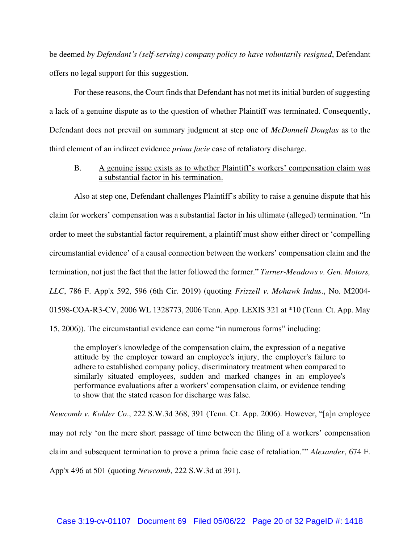be deemed *by Defendant's (self-serving) company policy to have voluntarily resigned*, Defendant offers no legal support for this suggestion.

For these reasons, the Court finds that Defendant has not met its initial burden of suggesting a lack of a genuine dispute as to the question of whether Plaintiff was terminated. Consequently, Defendant does not prevail on summary judgment at step one of *McDonnell Douglas* as to the third element of an indirect evidence *prima facie* case of retaliatory discharge.

B. A genuine issue exists as to whether Plaintiff's workers' compensation claim was a substantial factor in his termination.

Also at step one, Defendant challenges Plaintiff's ability to raise a genuine dispute that his claim for workers' compensation was a substantial factor in his ultimate (alleged) termination. "In order to meet the substantial factor requirement, a plaintiff must show either direct or 'compelling circumstantial evidence' of a causal connection between the workers' compensation claim and the termination, not just the fact that the latter followed the former." *Turner-Meadows v. Gen. Motors, LLC*, 786 F. App'x 592, 596 (6th Cir. 2019) (quoting *Frizzell v. Mohawk Indus*., No. M2004- 01598-COA-R3-CV, 2006 WL 1328773, 2006 Tenn. App. LEXIS 321 at \*10 (Tenn. Ct. App. May 15, 2006)). The circumstantial evidence can come "in numerous forms" including:

the employer's knowledge of the compensation claim, the expression of a negative attitude by the employer toward an employee's injury, the employer's failure to adhere to established company policy, discriminatory treatment when compared to similarly situated employees, sudden and marked changes in an employee's performance evaluations after a workers' compensation claim, or evidence tending to show that the stated reason for discharge was false.

*Newcomb v. Kohler Co*., 222 S.W.3d 368, 391 (Tenn. Ct. App. 2006). However, "[a]n employee may not rely 'on the mere short passage of time between the filing of a workers' compensation claim and subsequent termination to prove a prima facie case of retaliation.'" *Alexander*, 674 F. App'x 496 at 501 (quoting *Newcomb*, 222 S.W.3d at 391).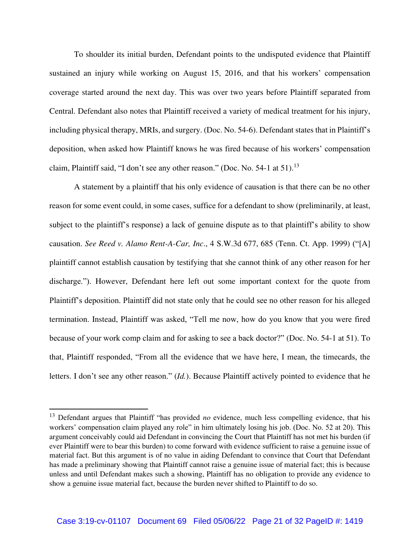To shoulder its initial burden, Defendant points to the undisputed evidence that Plaintiff sustained an injury while working on August 15, 2016, and that his workers' compensation coverage started around the next day. This was over two years before Plaintiff separated from Central. Defendant also notes that Plaintiff received a variety of medical treatment for his injury, including physical therapy, MRIs, and surgery. (Doc. No. 54-6). Defendant states that in Plaintiff's deposition, when asked how Plaintiff knows he was fired because of his workers' compensation claim, Plaintiff said, "I don't see any other reason." (Doc. No. 54-1 at 51).<sup>13</sup>

A statement by a plaintiff that his only evidence of causation is that there can be no other reason for some event could, in some cases, suffice for a defendant to show (preliminarily, at least, subject to the plaintiff's response) a lack of genuine dispute as to that plaintiff's ability to show causation. *See Reed v. Alamo Rent-A-Car, Inc*., 4 S.W.3d 677, 685 (Tenn. Ct. App. 1999) ("[A] plaintiff cannot establish causation by testifying that she cannot think of any other reason for her discharge."). However, Defendant here left out some important context for the quote from Plaintiff's deposition. Plaintiff did not state only that he could see no other reason for his alleged termination. Instead, Plaintiff was asked, "Tell me now, how do you know that you were fired because of your work comp claim and for asking to see a back doctor?" (Doc. No. 54-1 at 51). To that, Plaintiff responded, "From all the evidence that we have here, I mean, the timecards, the letters. I don't see any other reason." (*Id.*). Because Plaintiff actively pointed to evidence that he

<sup>13</sup> Defendant argues that Plaintiff "has provided *no* evidence, much less compelling evidence, that his workers' compensation claim played any role" in him ultimately losing his job. (Doc. No. 52 at 20). This argument conceivably could aid Defendant in convincing the Court that Plaintiff has not met his burden (if ever Plaintiff were to bear this burden) to come forward with evidence sufficient to raise a genuine issue of material fact. But this argument is of no value in aiding Defendant to convince that Court that Defendant has made a preliminary showing that Plaintiff cannot raise a genuine issue of material fact; this is because unless and until Defendant makes such a showing, Plaintiff has no obligation to provide any evidence to show a genuine issue material fact, because the burden never shifted to Plaintiff to do so.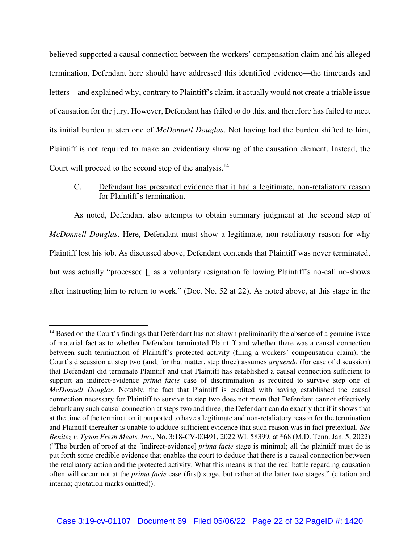believed supported a causal connection between the workers' compensation claim and his alleged termination, Defendant here should have addressed this identified evidence—the timecards and letters—and explained why, contrary to Plaintiff's claim, it actually would not create a triable issue of causation for the jury. However, Defendant has failed to do this, and therefore has failed to meet its initial burden at step one of *McDonnell Douglas*. Not having had the burden shifted to him, Plaintiff is not required to make an evidentiary showing of the causation element. Instead, the Court will proceed to the second step of the analysis.<sup>14</sup>

## C. Defendant has presented evidence that it had a legitimate, non-retaliatory reason for Plaintiff's termination.

As noted, Defendant also attempts to obtain summary judgment at the second step of *McDonnell Douglas*. Here, Defendant must show a legitimate, non-retaliatory reason for why Plaintiff lost his job. As discussed above, Defendant contends that Plaintiff was never terminated, but was actually "processed [] as a voluntary resignation following Plaintiff's no-call no-shows after instructing him to return to work." (Doc. No. 52 at 22). As noted above, at this stage in the

<sup>&</sup>lt;sup>14</sup> Based on the Court's findings that Defendant has not shown preliminarily the absence of a genuine issue of material fact as to whether Defendant terminated Plaintiff and whether there was a causal connection between such termination of Plaintiff's protected activity (filing a workers' compensation claim), the Court's discussion at step two (and, for that matter, step three) assumes *arguendo* (for ease of discussion) that Defendant did terminate Plaintiff and that Plaintiff has established a causal connection sufficient to support an indirect-evidence *prima facie* case of discrimination as required to survive step one of *McDonnell Douglas*. Notably, the fact that Plaintiff is credited with having established the causal connection necessary for Plaintiff to survive to step two does not mean that Defendant cannot effectively debunk any such causal connection at steps two and three; the Defendant can do exactly that if it shows that at the time of the termination it purported to have a legitimate and non-retaliatory reason for the termination and Plaintiff thereafter is unable to adduce sufficient evidence that such reason was in fact pretextual. *See Benitez v. Tyson Fresh Meats, Inc.*, No. 3:18-CV-00491, 2022 WL 58399, at \*68 (M.D. Tenn. Jan. 5, 2022) ("The burden of proof at the [indirect-evidence] *prima facie* stage is minimal; all the plaintiff must do is put forth some credible evidence that enables the court to deduce that there is a causal connection between the retaliatory action and the protected activity. What this means is that the real battle regarding causation often will occur not at the *prima facie* case (first) stage, but rather at the latter two stages." (citation and interna; quotation marks omitted)).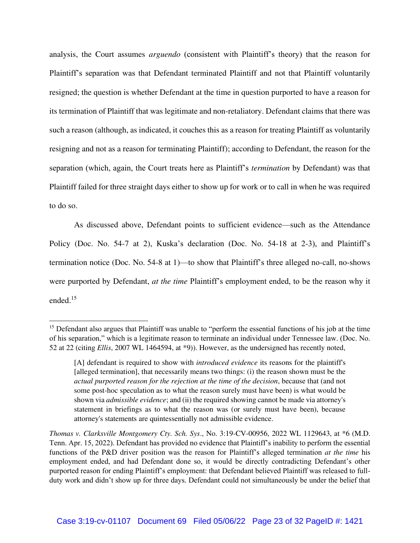analysis, the Court assumes *arguendo* (consistent with Plaintiff's theory) that the reason for Plaintiff's separation was that Defendant terminated Plaintiff and not that Plaintiff voluntarily resigned; the question is whether Defendant at the time in question purported to have a reason for its termination of Plaintiff that was legitimate and non-retaliatory. Defendant claims that there was such a reason (although, as indicated, it couches this as a reason for treating Plaintiff as voluntarily resigning and not as a reason for terminating Plaintiff); according to Defendant, the reason for the separation (which, again, the Court treats here as Plaintiff's *termination* by Defendant) was that Plaintiff failed for three straight days either to show up for work or to call in when he was required to do so.

As discussed above, Defendant points to sufficient evidence—such as the Attendance Policy (Doc. No. 54-7 at 2), Kuska's declaration (Doc. No. 54-18 at 2-3), and Plaintiff's termination notice (Doc. No. 54-8 at 1)—to show that Plaintiff's three alleged no-call, no-shows were purported by Defendant, *at the time* Plaintiff's employment ended, to be the reason why it ended.<sup>15</sup>

<sup>&</sup>lt;sup>15</sup> Defendant also argues that Plaintiff was unable to "perform the essential functions of his job at the time of his separation," which is a legitimate reason to terminate an individual under Tennessee law. (Doc. No. 52 at 22 (citing *Ellis*, 2007 WL 1464594, at \*9)). However, as the undersigned has recently noted,

<sup>[</sup>A] defendant is required to show with *introduced evidence* its reasons for the plaintiff's [alleged termination], that necessarily means two things: (i) the reason shown must be the *actual purported reason for the rejection at the time of the decision*, because that (and not some post-hoc speculation as to what the reason surely must have been) is what would be shown via *admissible evidence*; and (ii) the required showing cannot be made via attorney's statement in briefings as to what the reason was (or surely must have been), because attorney's statements are quintessentially not admissible evidence.

*Thomas v. Clarksville Montgomery Cty. Sch. Sys*., No. 3:19-CV-00956, 2022 WL 1129643, at \*6 (M.D. Tenn. Apr. 15, 2022). Defendant has provided no evidence that Plaintiff's inability to perform the essential functions of the P&D driver position was the reason for Plaintiff's alleged termination *at the time* his employment ended, and had Defendant done so, it would be directly contradicting Defendant's other purported reason for ending Plaintiff's employment: that Defendant believed Plaintiff was released to fullduty work and didn't show up for three days. Defendant could not simultaneously be under the belief that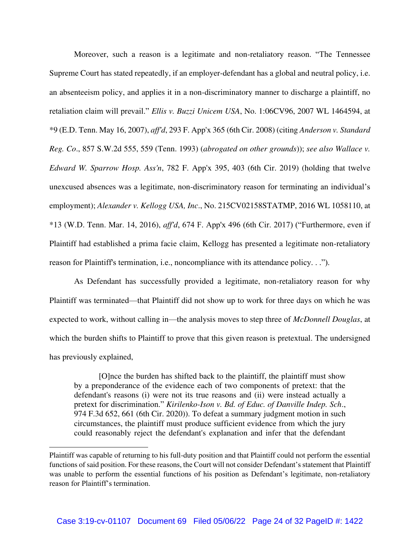Moreover, such a reason is a legitimate and non-retaliatory reason. "The Tennessee Supreme Court has stated repeatedly, if an employer-defendant has a global and neutral policy, i.e. an absenteeism policy, and applies it in a non-discriminatory manner to discharge a plaintiff, no retaliation claim will prevail." *Ellis v. Buzzi Unicem USA*, No. 1:06CV96, 2007 WL 1464594, at \*9 (E.D. Tenn. May 16, 2007), *aff'd*, 293 F. App'x 365 (6th Cir. 2008) (citing *Anderson v. Standard Reg. Co*., 857 S.W.2d 555, 559 (Tenn. 1993) (*abrogated on other grounds*)); *see also Wallace v. Edward W. Sparrow Hosp. Ass'n*, 782 F. App'x 395, 403 (6th Cir. 2019) (holding that twelve unexcused absences was a legitimate, non-discriminatory reason for terminating an individual's employment); *Alexander v. Kellogg USA, Inc*., No. 215CV02158STATMP, 2016 WL 1058110, at \*13 (W.D. Tenn. Mar. 14, 2016), *aff'd*, 674 F. App'x 496 (6th Cir. 2017) ("Furthermore, even if Plaintiff had established a prima facie claim, Kellogg has presented a legitimate non-retaliatory reason for Plaintiff's termination, i.e., noncompliance with its attendance policy. . .").

As Defendant has successfully provided a legitimate, non-retaliatory reason for why Plaintiff was terminated—that Plaintiff did not show up to work for three days on which he was expected to work, without calling in—the analysis moves to step three of *McDonnell Douglas*, at which the burden shifts to Plaintiff to prove that this given reason is pretextual. The undersigned has previously explained,

[O]nce the burden has shifted back to the plaintiff, the plaintiff must show by a preponderance of the evidence each of two components of pretext: that the defendant's reasons (i) were not its true reasons and (ii) were instead actually a pretext for discrimination." *Kirilenko-Ison v. Bd. of Educ. of Danville Indep. Sch*., 974 F.3d 652, 661 (6th Cir. 2020)). To defeat a summary judgment motion in such circumstances, the plaintiff must produce sufficient evidence from which the jury could reasonably reject the defendant's explanation and infer that the defendant

Plaintiff was capable of returning to his full-duty position and that Plaintiff could not perform the essential functions of said position. For these reasons, the Court will not consider Defendant's statement that Plaintiff was unable to perform the essential functions of his position as Defendant's legitimate, non-retaliatory reason for Plaintiff's termination.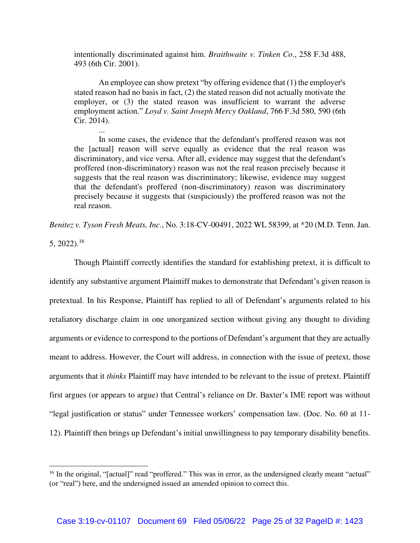intentionally discriminated against him. *Braithwaite v. Tinken Co*., 258 F.3d 488, 493 (6th Cir. 2001).

An employee can show pretext "by offering evidence that (1) the employer's stated reason had no basis in fact, (2) the stated reason did not actually motivate the employer, or (3) the stated reason was insufficient to warrant the adverse employment action." *Loyd v. Saint Joseph Mercy Oakland*, 766 F.3d 580, 590 (6th Cir. 2014).

In some cases, the evidence that the defendant's proffered reason was not the [actual] reason will serve equally as evidence that the real reason was discriminatory, and vice versa. After all, evidence may suggest that the defendant's proffered (non-discriminatory) reason was not the real reason precisely because it suggests that the real reason was discriminatory; likewise, evidence may suggest that the defendant's proffered (non-discriminatory) reason was discriminatory precisely because it suggests that (suspiciously) the proffered reason was not the real reason.

*Benitez v. Tyson Fresh Meats, Inc*., No. 3:18-CV-00491, 2022 WL 58399, at \*20 (M.D. Tenn. Jan.

5, 2022).<sup>16</sup>

...

Though Plaintiff correctly identifies the standard for establishing pretext, it is difficult to identify any substantive argument Plaintiff makes to demonstrate that Defendant's given reason is pretextual. In his Response, Plaintiff has replied to all of Defendant's arguments related to his retaliatory discharge claim in one unorganized section without giving any thought to dividing arguments or evidence to correspond to the portions of Defendant's argument that they are actually meant to address. However, the Court will address, in connection with the issue of pretext, those arguments that it *thinks* Plaintiff may have intended to be relevant to the issue of pretext. Plaintiff first argues (or appears to argue) that Central's reliance on Dr. Baxter's IME report was without "legal justification or status" under Tennessee workers' compensation law. (Doc. No. 60 at 11- 12). Plaintiff then brings up Defendant's initial unwillingness to pay temporary disability benefits.

<sup>&</sup>lt;sup>16</sup> In the original, "[actual]" read "proffered." This was in error, as the undersigned clearly meant "actual" (or "real") here, and the undersigned issued an amended opinion to correct this.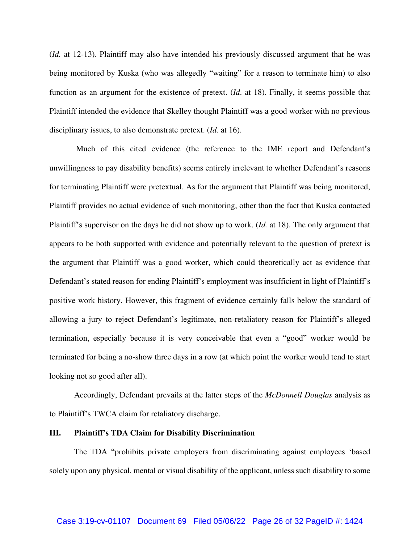(*Id.* at 12-13). Plaintiff may also have intended his previously discussed argument that he was being monitored by Kuska (who was allegedly "waiting" for a reason to terminate him) to also function as an argument for the existence of pretext. (*Id*. at 18). Finally, it seems possible that Plaintiff intended the evidence that Skelley thought Plaintiff was a good worker with no previous disciplinary issues, to also demonstrate pretext. (*Id.* at 16).

 Much of this cited evidence (the reference to the IME report and Defendant's unwillingness to pay disability benefits) seems entirely irrelevant to whether Defendant's reasons for terminating Plaintiff were pretextual. As for the argument that Plaintiff was being monitored, Plaintiff provides no actual evidence of such monitoring, other than the fact that Kuska contacted Plaintiff's supervisor on the days he did not show up to work. (*Id.* at 18). The only argument that appears to be both supported with evidence and potentially relevant to the question of pretext is the argument that Plaintiff was a good worker, which could theoretically act as evidence that Defendant's stated reason for ending Plaintiff's employment was insufficient in light of Plaintiff's positive work history. However, this fragment of evidence certainly falls below the standard of allowing a jury to reject Defendant's legitimate, non-retaliatory reason for Plaintiff's alleged termination, especially because it is very conceivable that even a "good" worker would be terminated for being a no-show three days in a row (at which point the worker would tend to start looking not so good after all).

Accordingly, Defendant prevails at the latter steps of the *McDonnell Douglas* analysis as to Plaintiff's TWCA claim for retaliatory discharge.

### **III. Plaintiff's TDA Claim for Disability Discrimination**

The TDA "prohibits private employers from discriminating against employees 'based solely upon any physical, mental or visual disability of the applicant, unless such disability to some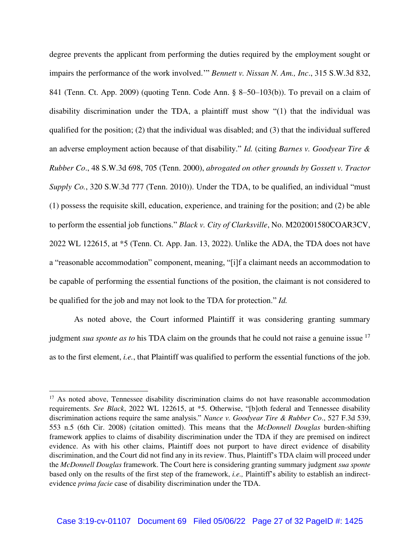degree prevents the applicant from performing the duties required by the employment sought or impairs the performance of the work involved.'" *Bennett v. Nissan N. Am., Inc*., 315 S.W.3d 832, 841 (Tenn. Ct. App. 2009) (quoting Tenn. Code Ann. § 8–50–103(b)). To prevail on a claim of disability discrimination under the TDA, a plaintiff must show "(1) that the individual was qualified for the position; (2) that the individual was disabled; and (3) that the individual suffered an adverse employment action because of that disability." *Id.* (citing *Barnes v. Goodyear Tire & Rubber Co*., 48 S.W.3d 698, 705 (Tenn. 2000), *abrogated on other grounds by Gossett v. Tractor Supply Co.*, 320 S.W.3d 777 (Tenn. 2010)). Under the TDA, to be qualified, an individual "must (1) possess the requisite skill, education, experience, and training for the position; and (2) be able to perform the essential job functions." *Black v. City of Clarksville*, No. M202001580COAR3CV, 2022 WL 122615, at \*5 (Tenn. Ct. App. Jan. 13, 2022). Unlike the ADA, the TDA does not have a "reasonable accommodation" component, meaning, "[i]f a claimant needs an accommodation to be capable of performing the essential functions of the position, the claimant is not considered to be qualified for the job and may not look to the TDA for protection." *Id.* 

As noted above, the Court informed Plaintiff it was considering granting summary judgment *sua sponte as to* his TDA claim on the grounds that he could not raise a genuine issue <sup>17</sup> as to the first element, *i.e.*, that Plaintiff was qualified to perform the essential functions of the job.

<sup>&</sup>lt;sup>17</sup> As noted above, Tennessee disability discrimination claims do not have reasonable accommodation requirements. *See Black*, 2022 WL 122615, at \*5. Otherwise, "[b]oth federal and Tennessee disability discrimination actions require the same analysis." *Nance v. Goodyear Tire & Rubber Co*., 527 F.3d 539, 553 n.5 (6th Cir. 2008) (citation omitted). This means that the *McDonnell Douglas* burden-shifting framework applies to claims of disability discrimination under the TDA if they are premised on indirect evidence. As with his other claims, Plaintiff does not purport to have direct evidence of disability discrimination, and the Court did not find any in its review. Thus, Plaintiff's TDA claim will proceed under the *McDonnell Douglas* framework. The Court here is considering granting summary judgment *sua sponte*  based only on the results of the first step of the framework, *i.e.,* Plaintiff's ability to establish an indirectevidence *prima facie* case of disability discrimination under the TDA.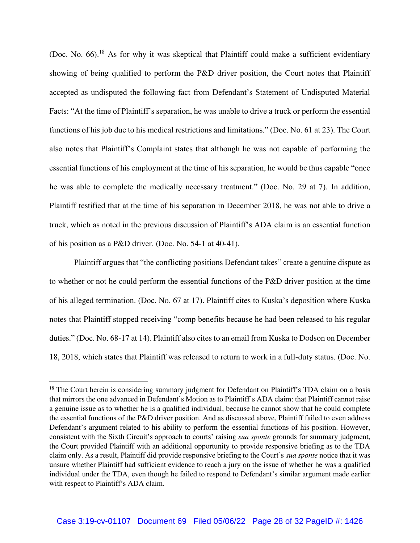(Doc. No.  $66$ ).<sup>18</sup> As for why it was skeptical that Plaintiff could make a sufficient evidentiary showing of being qualified to perform the P&D driver position, the Court notes that Plaintiff accepted as undisputed the following fact from Defendant's Statement of Undisputed Material Facts: "At the time of Plaintiff's separation, he was unable to drive a truck or perform the essential functions of his job due to his medical restrictions and limitations." (Doc. No. 61 at 23). The Court also notes that Plaintiff's Complaint states that although he was not capable of performing the essential functions of his employment at the time of his separation, he would be thus capable "once he was able to complete the medically necessary treatment." (Doc. No. 29 at 7). In addition, Plaintiff testified that at the time of his separation in December 2018, he was not able to drive a truck, which as noted in the previous discussion of Plaintiff's ADA claim is an essential function of his position as a P&D driver. (Doc. No. 54-1 at 40-41).

Plaintiff argues that "the conflicting positions Defendant takes" create a genuine dispute as to whether or not he could perform the essential functions of the P&D driver position at the time of his alleged termination. (Doc. No. 67 at 17). Plaintiff cites to Kuska's deposition where Kuska notes that Plaintiff stopped receiving "comp benefits because he had been released to his regular duties." (Doc. No. 68-17 at 14). Plaintiff also cites to an email from Kuska to Dodson on December 18, 2018, which states that Plaintiff was released to return to work in a full-duty status. (Doc. No.

<sup>&</sup>lt;sup>18</sup> The Court herein is considering summary judgment for Defendant on Plaintiff's TDA claim on a basis that mirrors the one advanced in Defendant's Motion as to Plaintiff's ADA claim: that Plaintiff cannot raise a genuine issue as to whether he is a qualified individual, because he cannot show that he could complete the essential functions of the P&D driver position. And as discussed above, Plaintiff failed to even address Defendant's argument related to his ability to perform the essential functions of his position. However, consistent with the Sixth Circuit's approach to courts' raising *sua sponte* grounds for summary judgment, the Court provided Plaintiff with an additional opportunity to provide responsive briefing as to the TDA claim only. As a result, Plaintiff did provide responsive briefing to the Court's *sua sponte* notice that it was unsure whether Plaintiff had sufficient evidence to reach a jury on the issue of whether he was a qualified individual under the TDA, even though he failed to respond to Defendant's similar argument made earlier with respect to Plaintiff's ADA claim.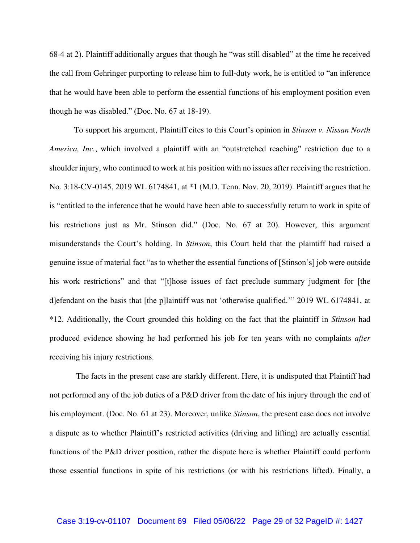68-4 at 2). Plaintiff additionally argues that though he "was still disabled" at the time he received the call from Gehringer purporting to release him to full-duty work, he is entitled to "an inference that he would have been able to perform the essential functions of his employment position even though he was disabled." (Doc. No. 67 at 18-19).

To support his argument, Plaintiff cites to this Court's opinion in *Stinson v. Nissan North America, Inc.*, which involved a plaintiff with an "outstretched reaching" restriction due to a shoulder injury, who continued to work at his position with no issues after receiving the restriction. No. 3:18-CV-0145, 2019 WL 6174841, at \*1 (M.D. Tenn. Nov. 20, 2019). Plaintiff argues that he is "entitled to the inference that he would have been able to successfully return to work in spite of his restrictions just as Mr. Stinson did." (Doc. No. 67 at 20). However, this argument misunderstands the Court's holding. In *Stinson*, this Court held that the plaintiff had raised a genuine issue of material fact "as to whether the essential functions of [Stinson's] job were outside his work restrictions" and that "[t]hose issues of fact preclude summary judgment for [the d]efendant on the basis that [the p]laintiff was not 'otherwise qualified.'" 2019 WL 6174841, at \*12. Additionally, the Court grounded this holding on the fact that the plaintiff in *Stinson* had produced evidence showing he had performed his job for ten years with no complaints *after*  receiving his injury restrictions.

 The facts in the present case are starkly different. Here, it is undisputed that Plaintiff had not performed any of the job duties of a P&D driver from the date of his injury through the end of his employment. (Doc. No. 61 at 23). Moreover, unlike *Stinson*, the present case does not involve a dispute as to whether Plaintiff's restricted activities (driving and lifting) are actually essential functions of the P&D driver position, rather the dispute here is whether Plaintiff could perform those essential functions in spite of his restrictions (or with his restrictions lifted). Finally, a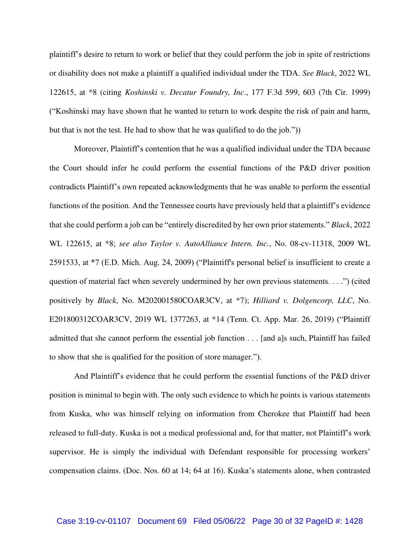plaintiff's desire to return to work or belief that they could perform the job in spite of restrictions or disability does not make a plaintiff a qualified individual under the TDA. *See Black*, 2022 WL 122615, at \*8 (citing *Koshinski v. Decatur Foundry, Inc*., 177 F.3d 599, 603 (7th Cir. 1999) ("Koshinski may have shown that he wanted to return to work despite the risk of pain and harm, but that is not the test. He had to show that he was qualified to do the job."))

Moreover, Plaintiff's contention that he was a qualified individual under the TDA because the Court should infer he could perform the essential functions of the P&D driver position contradicts Plaintiff's own repeated acknowledgments that he was unable to perform the essential functions of the position. And the Tennessee courts have previously held that a plaintiff's evidence that she could perform a job can be "entirely discredited by her own prior statements." *Black*, 2022 WL 122615, at \*8; *see also Taylor v. AutoAlliance Intern. Inc.*, No. 08-cv-11318, 2009 WL 2591533, at \*7 (E.D. Mich. Aug. 24, 2009) ("Plaintiff's personal belief is insufficient to create a question of material fact when severely undermined by her own previous statements. . . .") (cited positively by *Black*, No. M202001580COAR3CV, at \*7); *Hilliard v. Dolgencorp, LLC*, No. E201800312COAR3CV, 2019 WL 1377263, at \*14 (Tenn. Ct. App. Mar. 26, 2019) ("Plaintiff admitted that she cannot perform the essential job function . . . [and a]s such, Plaintiff has failed to show that she is qualified for the position of store manager.").

And Plaintiff's evidence that he could perform the essential functions of the P&D driver position is minimal to begin with. The only such evidence to which he points is various statements from Kuska, who was himself relying on information from Cherokee that Plaintiff had been released to full-duty. Kuska is not a medical professional and, for that matter, not Plaintiff's work supervisor. He is simply the individual with Defendant responsible for processing workers' compensation claims. (Doc. Nos. 60 at 14; 64 at 16). Kuska's statements alone, when contrasted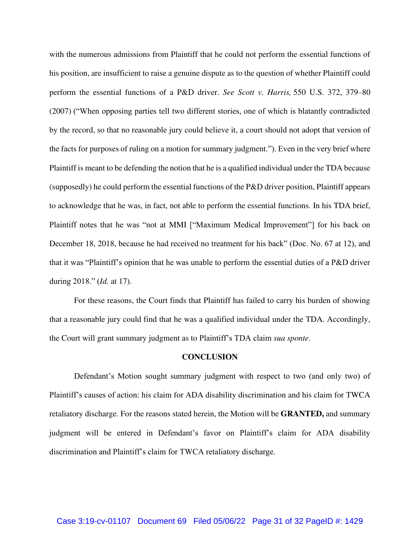with the numerous admissions from Plaintiff that he could not perform the essential functions of his position, are insufficient to raise a genuine dispute as to the question of whether Plaintiff could perform the essential functions of a P&D driver. *See Scott v. Harris,* 550 U.S. 372, 379–80 (2007) ("When opposing parties tell two different stories, one of which is blatantly contradicted by the record, so that no reasonable jury could believe it, a court should not adopt that version of the facts for purposes of ruling on a motion for summary judgment."). Even in the very brief where Plaintiff is meant to be defending the notion that he is a qualified individual under the TDA because (supposedly) he could perform the essential functions of the P&D driver position, Plaintiff appears to acknowledge that he was, in fact, not able to perform the essential functions. In his TDA brief, Plaintiff notes that he was "not at MMI ["Maximum Medical Improvement"] for his back on December 18, 2018, because he had received no treatment for his back" (Doc. No. 67 at 12), and that it was "Plaintiff's opinion that he was unable to perform the essential duties of a P&D driver during 2018." (*Id.* at 17).

For these reasons, the Court finds that Plaintiff has failed to carry his burden of showing that a reasonable jury could find that he was a qualified individual under the TDA. Accordingly, the Court will grant summary judgment as to Plaintiff's TDA claim *sua sponte*.

#### **CONCLUSION**

Defendant's Motion sought summary judgment with respect to two (and only two) of Plaintiff's causes of action: his claim for ADA disability discrimination and his claim for TWCA retaliatory discharge. For the reasons stated herein, the Motion will be **GRANTED,** and summary judgment will be entered in Defendant's favor on Plaintiff's claim for ADA disability discrimination and Plaintiff's claim for TWCA retaliatory discharge.